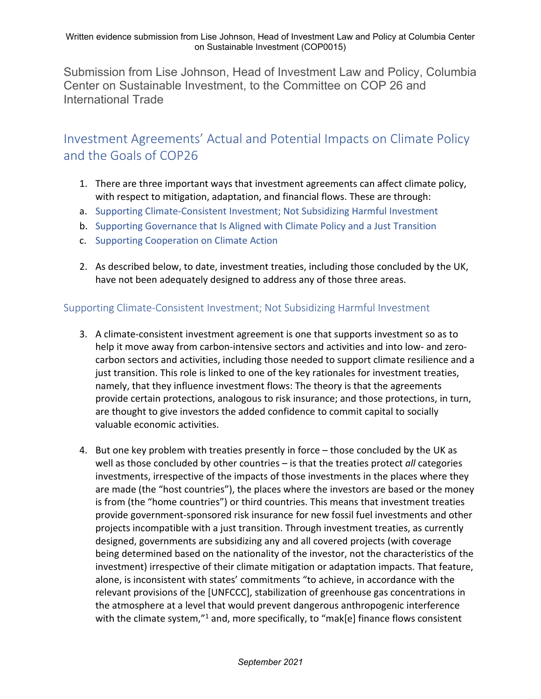Submission from Lise Johnson, Head of Investment Law and Policy, Columbia Center on Sustainable Investment, to the Committee on COP 26 and International Trade

## Investment Agreements' Actual and Potential Impacts on Climate Policy and the Goals of COP26

- 1. There are three important ways that investment agreements can affect climate policy, with respect to mitigation, adaptation, and financial flows. These are through:
- a. Supporting Climate-Consistent Investment; Not Subsidizing Harmful Investment
- b. Supporting Governance that Is Aligned with Climate Policy and a Just Transition
- c. Supporting Cooperation on Climate Action
- 2. As described below, to date, investment treaties, including those concluded by the UK, have not been adequately designed to address any of those three areas.

## Supporting Climate-Consistent Investment; Not Subsidizing Harmful Investment

- 3. A climate-consistent investment agreement is one that supports investment so as to help it move away from carbon-intensive sectors and activities and into low- and zerocarbon sectors and activities, including those needed to support climate resilience and a just transition. This role is linked to one of the key rationales for investment treaties, namely, that they influence investment flows: The theory is that the agreements provide certain protections, analogous to risk insurance; and those protections, in turn, are thought to give investors the added confidence to commit capital to socially valuable economic activities.
- 4. But one key problem with treaties presently in force those concluded by the UK as well as those concluded by other countries – is that the treaties protect *all* categories investments, irrespective of the impacts of those investments in the places where they are made (the "host countries"), the places where the investors are based or the money is from (the "home countries") or third countries. This means that investment treaties provide government-sponsored risk insurance for new fossil fuel investments and other projects incompatible with a just transition. Through investment treaties, as currently designed, governments are subsidizing any and all covered projects (with coverage being determined based on the nationality of the investor, not the characteristics of the investment) irrespective of their climate mitigation or adaptation impacts. That feature, alone, is inconsistent with states' commitments "to achieve, in accordance with the relevant provisions of the [UNFCCC], stabilization of greenhouse gas concentrations in the atmosphere at a level that would prevent dangerous anthropogenic interference with the climate system, $n<sup>1</sup>$  and, more specifically, to "mak[e] finance flows consistent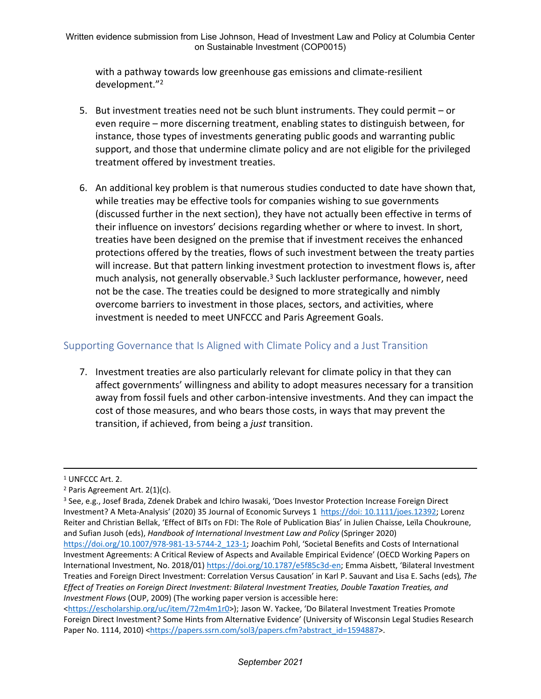with a pathway towards low greenhouse gas emissions and climate-resilient development."<sup>2</sup>

- 5. But investment treaties need not be such blunt instruments. They could permit or even require – more discerning treatment, enabling states to distinguish between, for instance, those types of investments generating public goods and warranting public support, and those that undermine climate policy and are not eligible for the privileged treatment offered by investment treaties.
- 6. An additional key problem is that numerous studies conducted to date have shown that, while treaties may be effective tools for companies wishing to sue governments (discussed further in the next section), they have not actually been effective in terms of their influence on investors' decisions regarding whether or where to invest. In short, treaties have been designed on the premise that if investment receives the enhanced protections offered by the treaties, flows of such investment between the treaty parties will increase. But that pattern linking investment protection to investment flows is, after much analysis, not generally observable. $3$  Such lackluster performance, however, need not be the case. The treaties could be designed to more strategically and nimbly overcome barriers to investment in those places, sectors, and activities, where investment is needed to meet UNFCCC and Paris Agreement Goals.

## Supporting Governance that Is Aligned with Climate Policy and a Just Transition

7. Investment treaties are also particularly relevant for climate policy in that they can affect governments' willingness and ability to adopt measures necessary for a transition away from fossil fuels and other carbon-intensive investments. And they can impact the cost of those measures, and who bears those costs, in ways that may prevent the transition, if achieved, from being a *just* transition.

<sup>&</sup>lt;sup>1</sup> UNFCCC Art. 2.

<sup>2</sup> Paris Agreement Art. 2(1)(c).

<sup>3</sup> See, e.g., Josef Brada, Zdenek Drabek and Ichiro Iwasaki, 'Does Investor Protection Increase Foreign Direct Investment? A Meta-Analysis' (2020) 35 Journal of Economic Surveys 1 [https://doi:](https://doi:%2010.1111/joes.12392) [10.1111/joes.12392;](https://doi:%2010.1111/joes.12392) Lorenz Reiter and Christian Bellak, 'Effect of BITs on FDI: The Role of Publication Bias' in Julien Chaisse, Leïla Choukroune, and Sufian Jusoh (eds), *Handbook of International Investment Law and Policy* (Springer 2020) [https://doi.org/10.1007/978-981-13-5744-2\\_123-1](https://doi.org/10.1007/978-981-13-5744-2_123-1); Joachim Pohl, 'Societal Benefits and Costs of International Investment Agreements: A Critical Review of Aspects and Available Empirical Evidence' (OECD Working Papers on International Investment, No. 2018/01) [https://doi.org/10.1787/e5f85c3d-en;](https://doi.org/10.1787/e5f85c3d-en) Emma Aisbett, 'Bilateral Investment Treaties and Foreign Direct Investment: Correlation Versus Causation' in Karl P. Sauvant and Lisa E. Sachs (eds)*, The Effect of Treaties on Foreign Direct Investment: Bilateral Investment Treaties, Double Taxation Treaties, and Investment Flows* (OUP, 2009) (The working paper version is accessible here:

<sup>&</sup>lt;[https://escholarship.org/uc/item/72m4m1r0>](https://escholarship.org/uc/item/72m4m1r0)); Jason W. Yackee, 'Do Bilateral Investment Treaties Promote Foreign Direct Investment? Some Hints from Alternative Evidence' (University of Wisconsin Legal Studies Research Paper No. 1114, 2010) <[https://papers.ssrn.com/sol3/papers.cfm?abstract\\_id=1594887>](https://papers.ssrn.com/sol3/papers.cfm?abstract_id=1594887).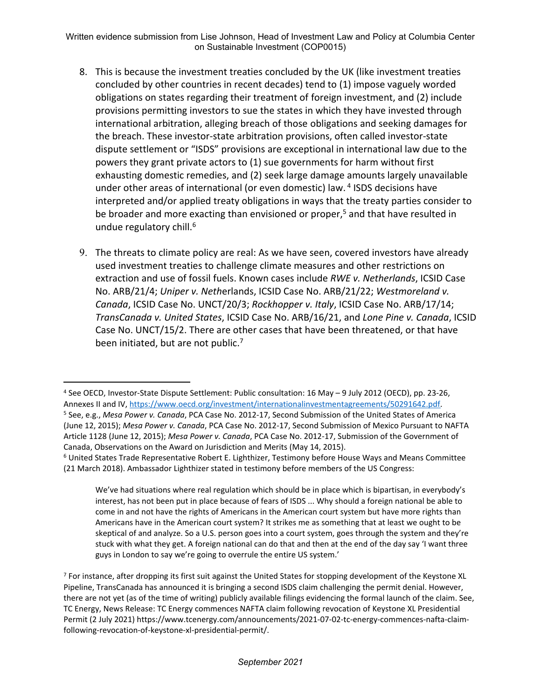Written evidence submission from Lise Johnson, Head of Investment Law and Policy at Columbia Center on Sustainable Investment (COP0015)

- 8. This is because the investment treaties concluded by the UK (like investment treaties concluded by other countries in recent decades) tend to (1) impose vaguely worded obligations on states regarding their treatment of foreign investment, and (2) include provisions permitting investors to sue the states in which they have invested through international arbitration, alleging breach of those obligations and seeking damages for the breach. These investor-state arbitration provisions, often called investor-state dispute settlement or "ISDS" provisions are exceptional in international law due to the powers they grant private actors to (1) sue governments for harm without first exhausting domestic remedies, and (2) seek large damage amounts largely unavailable under other areas of international (or even domestic) law. <sup>4</sup> ISDS decisions have interpreted and/or applied treaty obligations in ways that the treaty parties consider to be broader and more exacting than envisioned or proper,<sup>5</sup> and that have resulted in undue regulatory chill.<sup>6</sup>
- 9. The threats to climate policy are real: As we have seen, covered investors have already used investment treaties to challenge climate measures and other restrictions on extraction and use of fossil fuels. Known cases include *RWE v. Netherlands*, ICSID Case No. ARB/21/4; *Uniper v. Neth*erlands, ICSID Case No. ARB/21/22; *Westmoreland v. Canada*, ICSID Case No. UNCT/20/3; *Rockhopper v. Italy*, ICSID Case No. ARB/17/14; *TransCanada v. United States*, ICSID Case No. ARB/16/21, and *Lone Pine v. Canada*, ICSID Case No. UNCT/15/2. There are other cases that have been threatened, or that have been initiated, but are not public.<sup>7</sup>

We've had situations where real regulation which should be in place which is bipartisan, in everybody's interest, has not been put in place because of fears of ISDS ... Why should a foreign national be able to come in and not have the rights of Americans in the American court system but have more rights than Americans have in the American court system? It strikes me as something that at least we ought to be skeptical of and analyze. So a U.S. person goes into a court system, goes through the system and they're stuck with what they get. A foreign national can do that and then at the end of the day say 'I want three guys in London to say we're going to overrule the entire US system.'

<sup>7</sup> For instance, after dropping its first suit against the United States for stopping development of the Keystone XL Pipeline, TransCanada has announced it is bringing a second ISDS claim challenging the permit denial. However, there are not yet (as of the time of writing) publicly available filings evidencing the formal launch of the claim. See, TC Energy, News Release: TC Energy commences NAFTA claim following revocation of Keystone XL Presidential Permit (2 July 2021) https://www.tcenergy.com/announcements/2021-07-02-tc-energy-commences-nafta-claimfollowing-revocation-of-keystone-xl-presidential-permit/.

<sup>4</sup> See OECD, Investor-State Dispute Settlement: Public consultation: 16 May – 9 July 2012 (OECD), pp. 23-26, Annexes II and IV, [https://www.oecd.org/investment/internationalinvestmentagreements/50291642.pdf.](https://www.oecd.org/investment/internationalinvestmentagreements/50291642.pdf) <sup>5</sup> See, e.g., *Mesa Power v. Canada*, PCA Case No. 2012-17, Second Submission of the United States of America (June 12, 2015); *Mesa Power v. Canada*, PCA Case No. 2012-17, Second Submission of Mexico Pursuant to NAFTA Article 1128 (June 12, 2015); *Mesa Power v. Canada*, PCA Case No. 2012-17, Submission of the Government of Canada, Observations on the Award on Jurisdiction and Merits (May 14, 2015).

<sup>6</sup> United States Trade Representative Robert E. Lighthizer, Testimony before House Ways and Means Committee (21 March 2018). Ambassador Lighthizer stated in testimony before members of the US Congress: